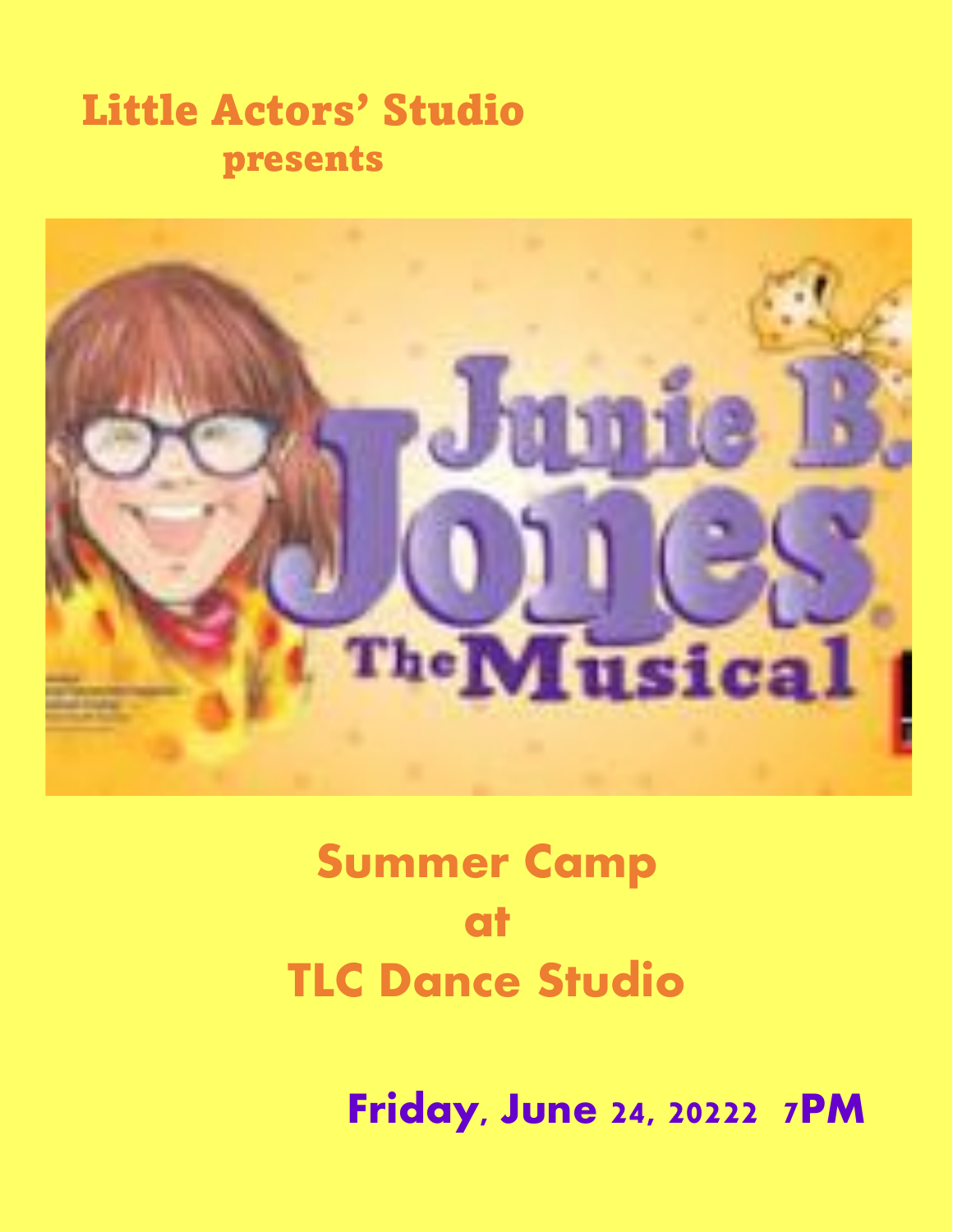### Little Actors' Studio presents



# Summer Camp at TLC Dance Studio

Friday, June 24, 20222 7PM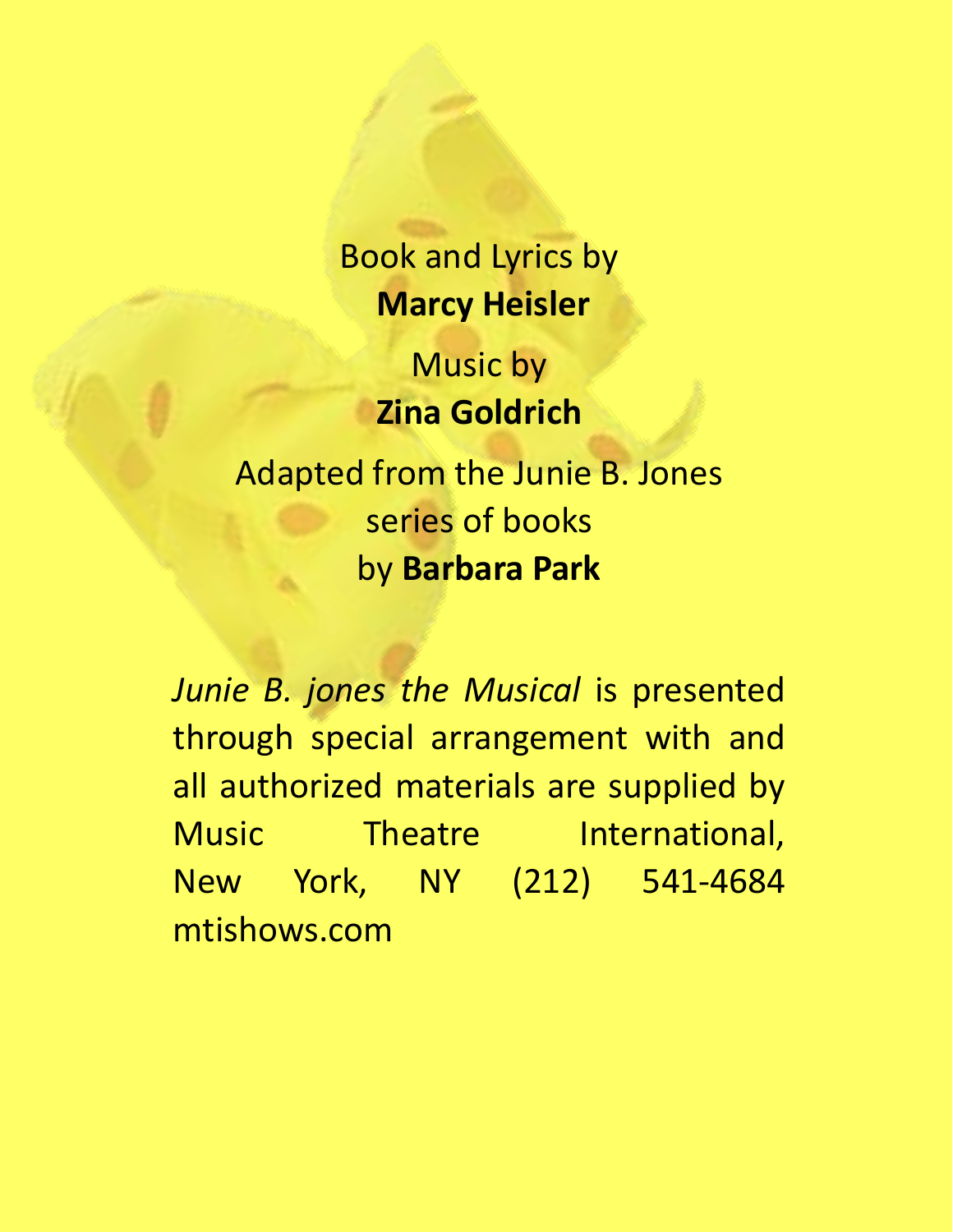Book and Lyrics by **Marcy Heisler**

> Music by **Zina Goldrich**

Adapted from the Junie B. Jones series of books by **Barbara Park**

*Junie B. jones the Musical* is presented through special arrangement with and all authorized materials are supplied by Music Theatre International, New York, NY (212) 541-4684 mtishows.com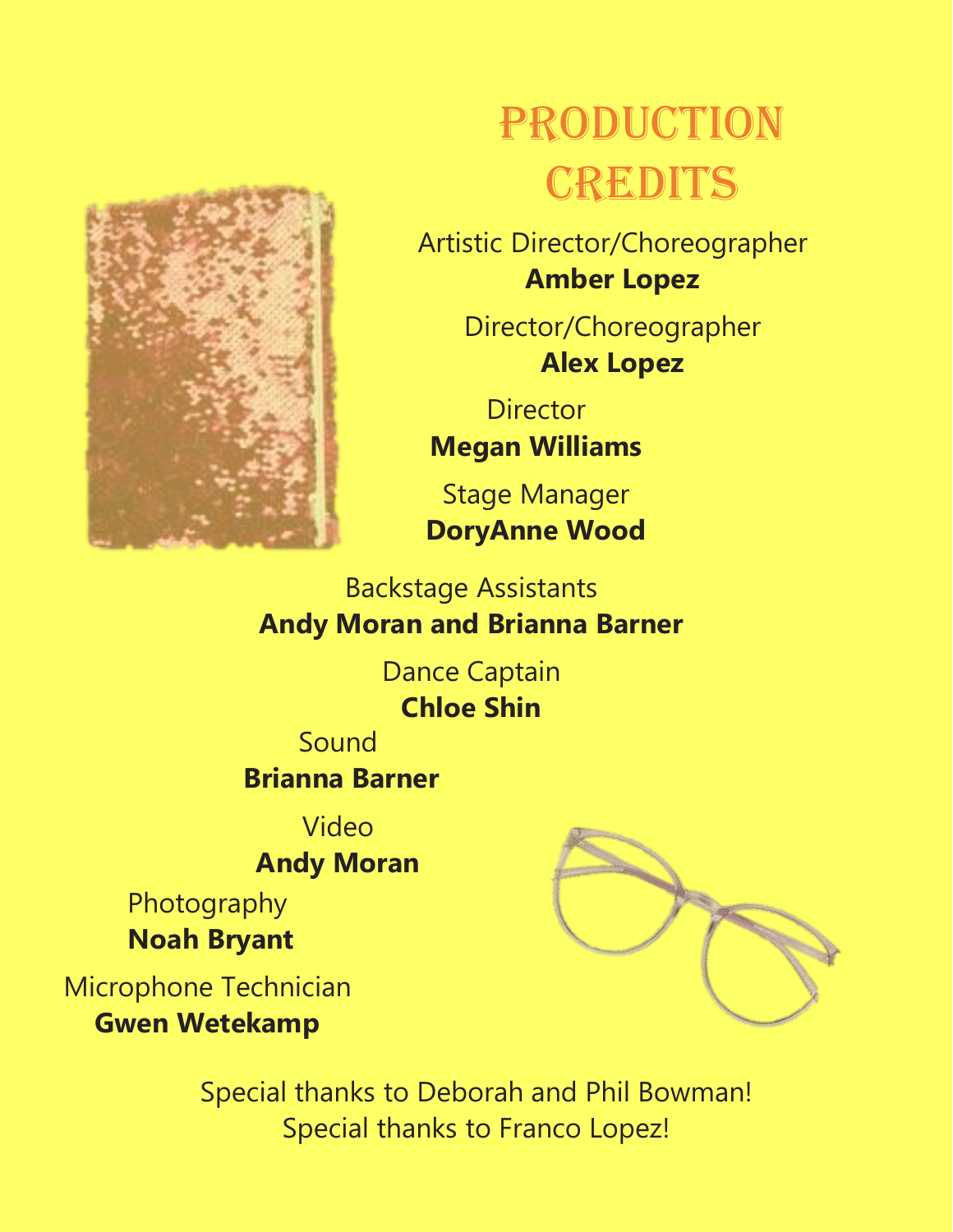

# PRODUCTION **CREDITS**

Artistic Director/Choreographer **Amber Lopez**

> Director/Choreographer **Alex Lopez**

**Director Megan Williams**

Stage Manager **DoryAnne Wood** 

#### Backstage Assistants **Andy Moran and Brianna Barner**

Dance Captain **Chloe Shin**

Sound **Brianna Barner**

Video

**Andy Moran**

Photography **Noah Bryant**

Microphone Technician **Gwen Wetekamp**



Special thanks to Deborah and Phil Bowman! Special thanks to Franco Lopez!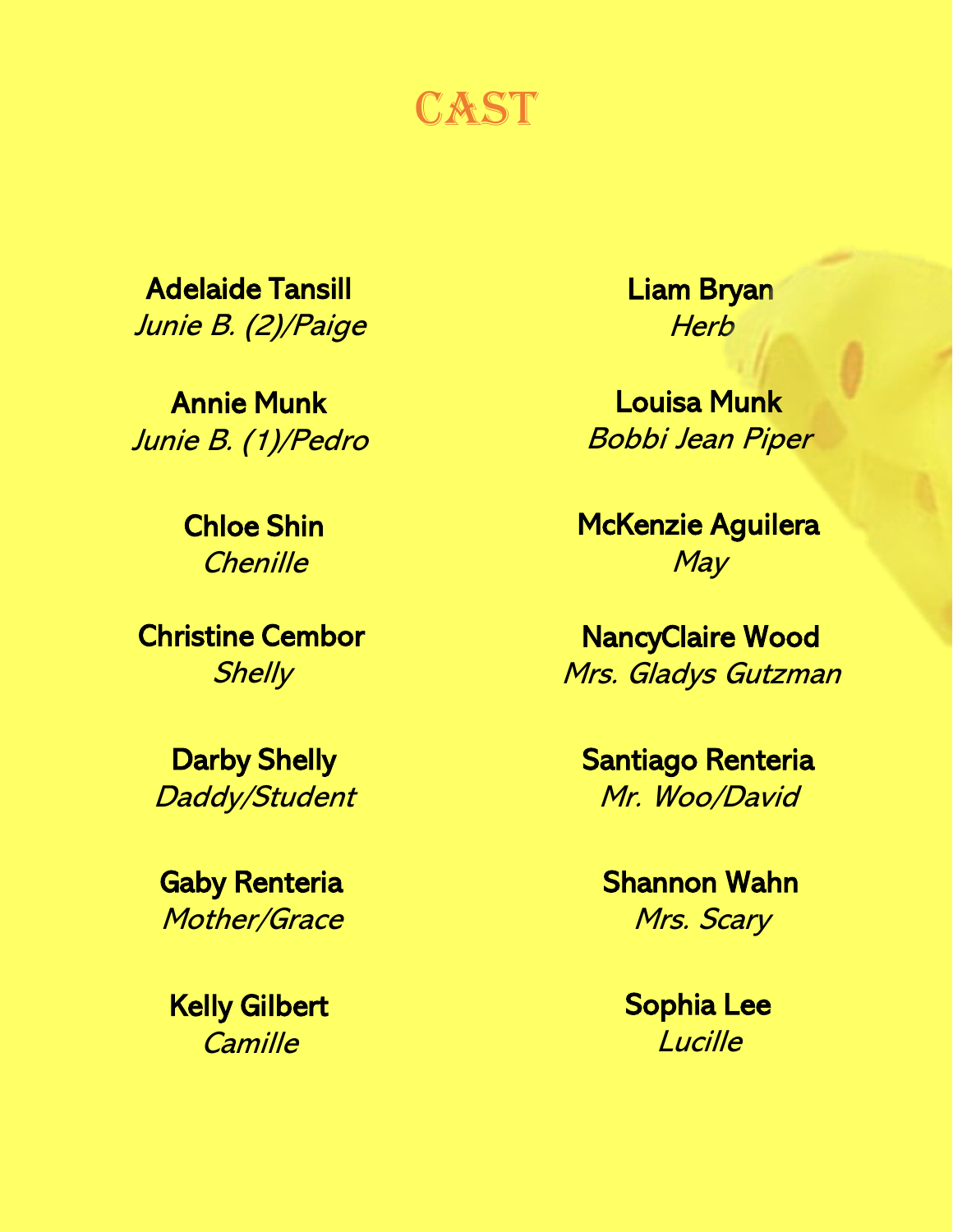CAST

Adelaide Tansill Junie B. (2)/Paige

Annie Munk Junie B. (1)/Pedro

> Chloe Shin **Chenille**

Christine Cembor **Shelly** 

Darby Shelly Daddy/Student

Gaby Renteria Mother/Grace

Kelly Gilbert **Camille** 

Liam Bryan **Herb** 

Louisa Munk Bobbi Jean Piper

McKenzie Aguilera May

NancyClaire Wood Mrs. Gladys Gutzman

Santiago Renteria Mr. Woo/David

Shannon Wahn Mrs. Scary

> Sophia Lee **Lucille**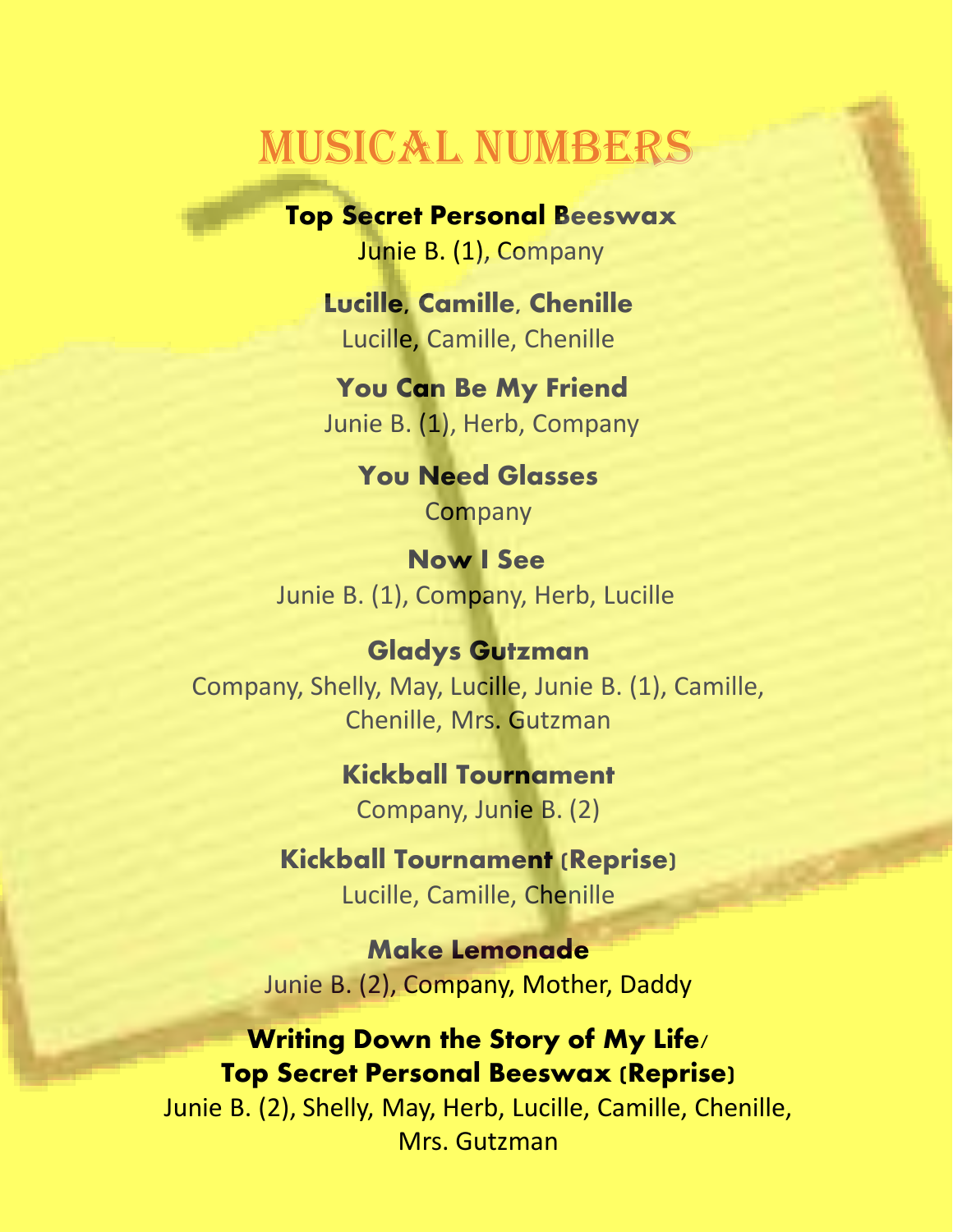### Musical Numbers

**Top Secret Personal Beeswax** Junie B. (1), Company

**Lucille, Camille, Chenille** Lucille, Camille, Chenille

**You Can Be My Friend** Junie B. (1), Herb, Company

> **You Need Glasses Company**

**Now I See** Junie B. (1), Company, Herb, Lucille

**Gladys Gutzman** Company, Shelly, May, Lucille, Junie B. (1), Camille, Chenille, Mrs. Gutzman

> **Kickball Tournament** Company, Junie B. (2)

**Kickball Tournament (Reprise)** Lucille, Camille, Chenille

**Make Lemonade** Junie B. (2), Company, Mother, Daddy

#### **Writing Down the Story of My Life/ Top Secret Personal Beeswax (Reprise)**

Junie B. (2), Shelly, May, Herb, Lucille, Camille, Chenille, Mrs. Gutzman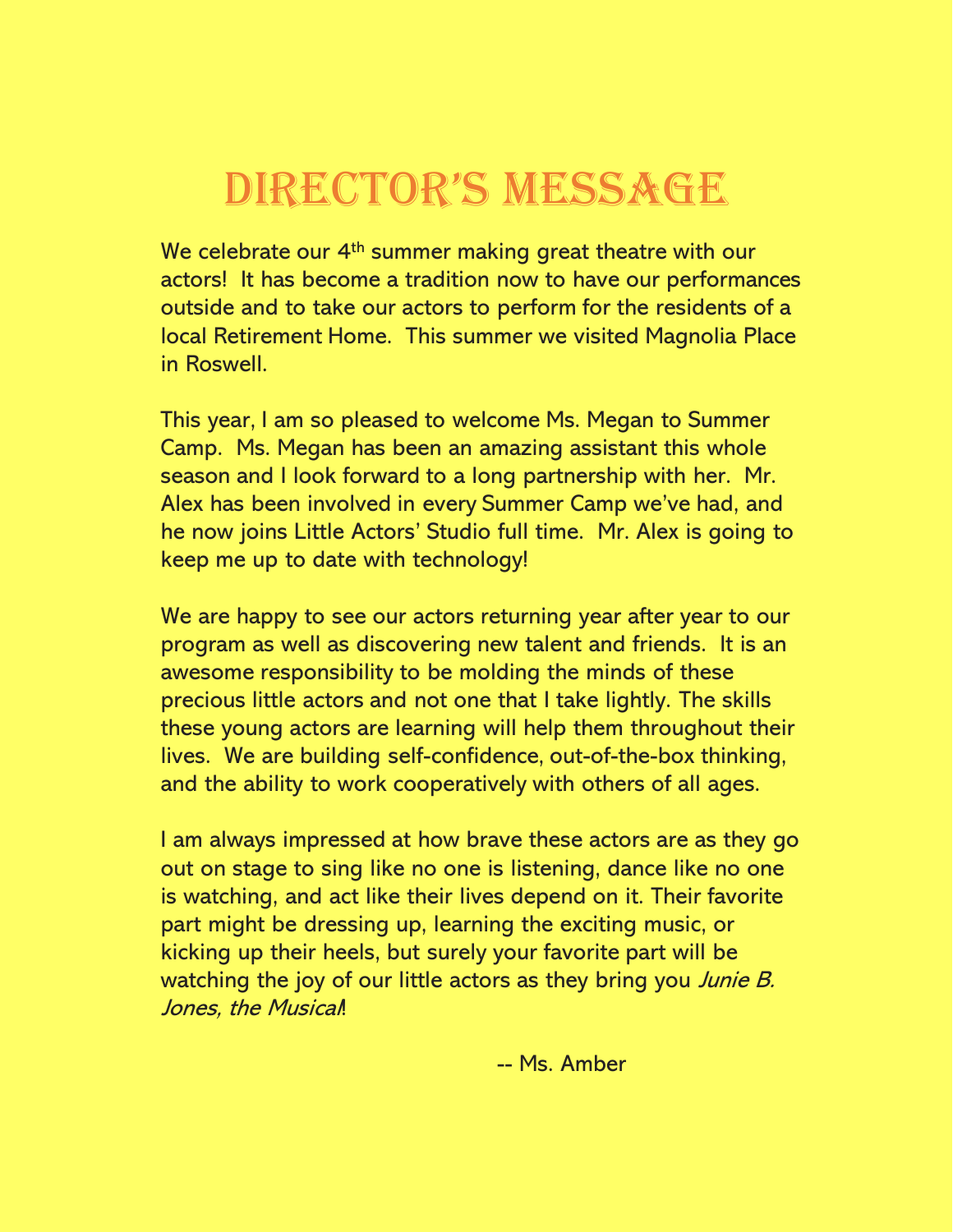## DIRECTOR'S MESSAGE

We celebrate our 4<sup>th</sup> summer making great theatre with our actors! It has become a tradition now to have our performances outside and to take our actors to perform for the residents of a local Retirement Home. This summer we visited Magnolia Place in Roswell.

This year, I am so pleased to welcome Ms. Megan to Summer Camp. Ms. Megan has been an amazing assistant this whole season and I look forward to a long partnership with her. Mr. Alex has been involved in every Summer Camp we've had, and he now joins Little Actors' Studio full time. Mr. Alex is going to keep me up to date with technology!

We are happy to see our actors returning year after year to our program as well as discovering new talent and friends. It is an awesome responsibility to be molding the minds of these precious little actors and not one that I take lightly. The skills these young actors are learning will help them throughout their lives. We are building self-confidence, out-of-the-box thinking, and the ability to work cooperatively with others of all ages.

I am always impressed at how brave these actors are as they go out on stage to sing like no one is listening, dance like no one is watching, and act like their lives depend on it. Their favorite part might be dressing up, learning the exciting music, or kicking up their heels, but surely your favorite part will be watching the joy of our little actors as they bring you *Junie B.* Jones, the Musical!

-- Ms. Amber